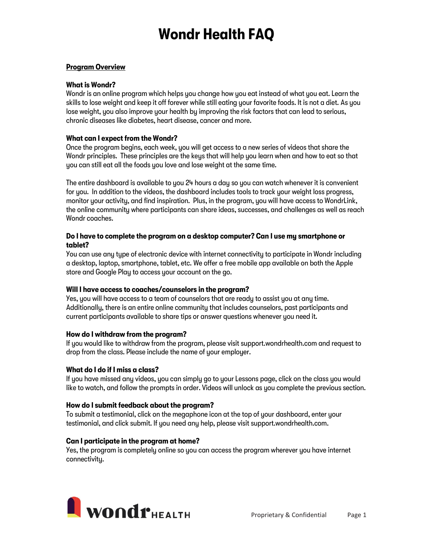# Wondr Health FAQ

#### Program Overview

#### What is Wondr?

Wondr is an online program which helps you change how you eat instead of what you eat. Learn the skills to lose weight and keep it off forever while still eating your favorite foods. It is not a diet. As you lose weight, you also improve your health by improving the risk factors that can lead to serious, chronic diseases like diabetes, heart disease, cancer and more.

## What can I expect from the Wondr?

Once the program begins, each week, you will get access to a new series of videos that share the Wondr principles. These principles are the keys that will help you learn when and how to eat so that you can still eat all the foods you love and lose weight at the same time.

The entire dashboard is available to you 24 hours a day so you can watch whenever it is convenient for you. In addition to the videos, the dashboard includes tools to track your weight loss progress, monitor your activity, and find inspiration. Plus, in the program, you will have access to WondrLink, the online community where participants can share ideas, successes, and challenges as well as reach Wondr coaches.

### Do I have to complete the program on a desktop computer? Can I use my smartphone or tablet?

You can use any type of electronic device with internet connectivity to participate in Wondr including a desktop, laptop, smartphone, tablet, etc. We offer a free mobile app available on both the Apple store and Google Play to access your account on the go.

# Will I have access to coaches/counselors in the program?

Yes, you will have access to a team of counselors that are ready to assist you at any time. Additionally, there is an entire online community that includes counselors, past participants and current participants available to share tips or answer questions whenever you need it.

# How do I withdraw from the program?

If you would like to withdraw from the program, please visit support.wondrhealth.com and request to drop from the class. Please include the name of your employer.

# What do I do if I miss a class?

If you have missed any videos, you can simply go to your Lessons page, click on the class you would like to watch, and follow the prompts in order. Videos will unlock as you complete the previous section.

# How do I submit feedback about the program?

To submit a testimonial, click on the megaphone icon at the top of your dashboard, enter your testimonial, and click submit. If you need any help, please visit support.wondrhealth.com.

# Can I participate in the program at home?

Yes, the program is completely online so you can access the program wherever you have internet connectivity.

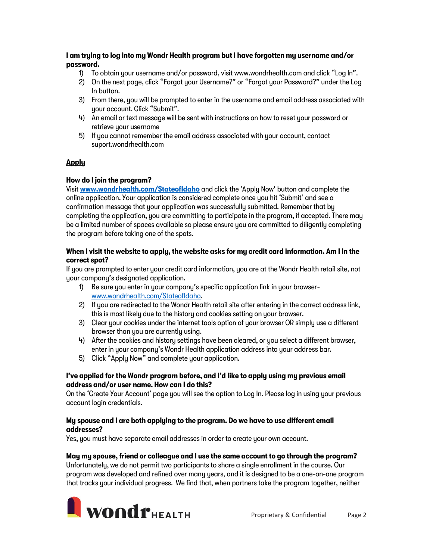## I am trying to log into my Wondr Health program but I have forgotten my username and/or password.

- 1) To obtain your username and/or password, visit www.wondrhealth.com and click "Log In".
- 2) On the next page, click "Forgot your Username?" or "Forgot your Password?" under the Log In button.
- 3) From there, you will be prompted to enter in the username and email address associated with your account. Click "Submit".
- 4) An email or text message will be sent with instructions on how to reset your password or retrieve your username
- 5) If you cannot remember the email address associated with your account, contact suport.wondrhealth.com

# Apply

# How do I join the program?

Visit www.wondrhealth.com/Stateofldaho and click the 'Apply Now' button and complete the online application. Your application is considered complete once you hit 'Submit' and see a confirmation message that your application was successfully submitted. Remember that by completing the application, you are committing to participate in the program, if accepted. There may be a limited number of spaces available so please ensure you are committed to diligently completing the program before taking one of the spots.

### When I visit the website to apply, the website asks for my credit card information. Am I in the correct spot?

If you are prompted to enter your credit card information, you are at the Wondr Health retail site, not your company's designated application.

- 1) Be sure you enter in your company's specific application link in your browser[www.wondrhealth.com/StateofIdaho.](http://www.wondrhealth.com/StateofIdaho)
- 2) If you are redirected to the Wondr Health retail site after entering in the correct address link, this is most likely due to the history and cookies setting on your browser.
- 3) Clear your cookies under the internet tools option of your browser OR simply use a different browser than you are currently using.
- 4) After the cookies and history settings have been cleared, or you select a different browser, enter in your company's Wondr Health application address into your address bar.
- 5) Click "Apply Now" and complete your application.

### I've applied for the Wondr program before, and I'd like to apply using my previous email address and/or user name. How can I do this?

On the 'Create Your Account' page you will see the option to Log In. Please log in using your previous account login credentials.

### My spouse and I are both applying to the program. Do we have to use different email addresses?

Yes, you must have separate email addresses in order to create your own account.

# May my spouse, friend or colleague and I use the same account to go through the program?

Unfortunately, we do not permit two participants to share a single enrollment in the course. Our program was developed and refined over many years, and it is designed to be a one-on-one program that tracks your individual progress. We find that, when partners take the program together, neither